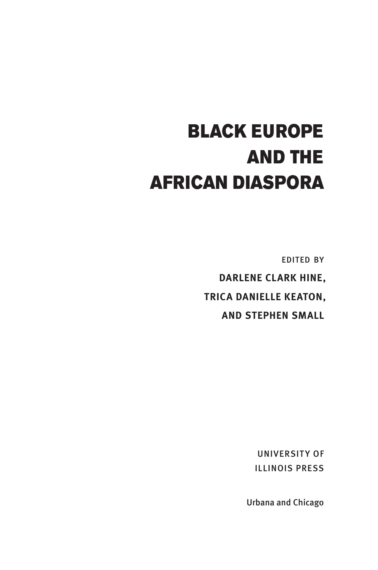## Black Europe and the African Diaspora

edited by **Darlene Clark Hine, Trica Danielle Keaton, and Stephen Small**

> UNIVERSITY OF Illinois Press

Urbana and Chicago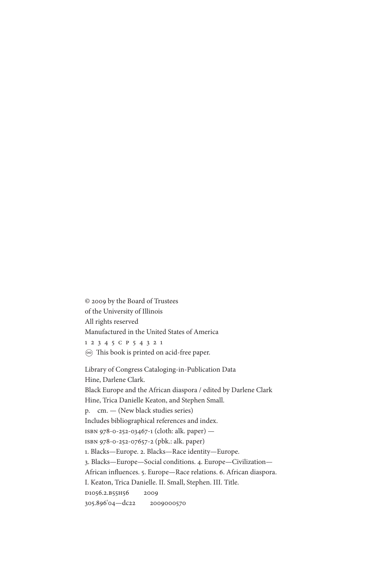© 2009 by the Board of Trustees of the University of Illinois All rights reserved Manufactured in the United States of America 1 2 3 4 5 c p 5 4 3 2 1

∞ This book is printed on acid-free paper.

Library of Congress Cataloging-in-Publication Data Hine, Darlene Clark. Black Europe and the African diaspora / edited by Darlene Clark Hine, Trica Danielle Keaton, and Stephen Small. p. cm. — (New black studies series) Includes bibliographical references and index. isbn 978-0-252-03467-1 (cloth: alk. paper) isbn 978-0-252-07657-2 (pbk.: alk. paper) 1. Blacks—Europe. 2. Blacks—Race identity—Europe. 3. Blacks—Europe—Social conditions. 4. Europe—Civilization— African influences. 5. Europe—Race relations. 6. African diaspora. I. Keaton, Trica Danielle. II. Small, Stephen. III. Title. D1056.2.B55H56 2009 305.896'04—dc22 2009000570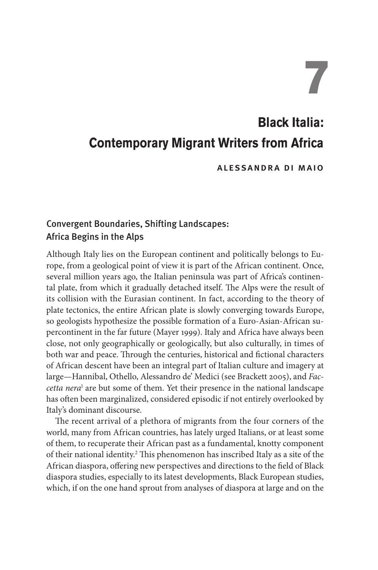# 7

### **Black Italia: Contemporary Migrant Writers from Africa**

alessandra di maio

#### Convergent Boundaries, Shifting Landscapes: Africa Begins in the Alps

Although Italy lies on the European continent and politically belongs to Europe, from a geological point of view it is part of the African continent. Once, several million years ago, the Italian peninsula was part of Africa's continental plate, from which it gradually detached itself. The Alps were the result of its collision with the Eurasian continent. In fact, according to the theory of plate tectonics, the entire African plate is slowly converging towards Europe, so geologists hypothesize the possible formation of a Euro-Asian-African supercontinent in the far future (Mayer 1999). Italy and Africa have always been close, not only geographically or geologically, but also culturally, in times of both war and peace. Through the centuries, historical and fictional characters of African descent have been an integral part of Italian culture and imagery at large—Hannibal, Othello, Alessandro de' Medici (see Brackett 2005), and *Faccetta nera*<sup>1</sup> are but some of them. Yet their presence in the national landscape has often been marginalized, considered episodic if not entirely overlooked by Italy's dominant discourse.

The recent arrival of a plethora of migrants from the four corners of the world, many from African countries, has lately urged Italians, or at least some of them, to recuperate their African past as a fundamental, knotty component of their national identity.<sup>2</sup> This phenomenon has inscribed Italy as a site of the African diaspora, offering new perspectives and directions to the field of Black diaspora studies, especially to its latest developments, Black European studies, which, if on the one hand sprout from analyses of diaspora at large and on the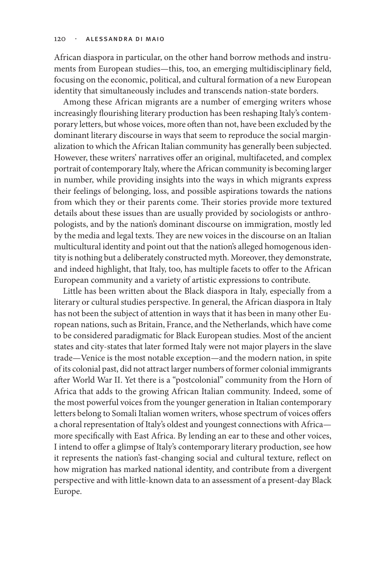African diaspora in particular, on the other hand borrow methods and instruments from European studies—this, too, an emerging multidisciplinary field, focusing on the economic, political, and cultural formation of a new European identity that simultaneously includes and transcends nation-state borders.

Among these African migrants are a number of emerging writers whose increasingly flourishing literary production has been reshaping Italy's contemporary letters, but whose voices, more often than not, have been excluded by the dominant literary discourse in ways that seem to reproduce the social marginalization to which the African Italian community has generally been subjected. However, these writers' narratives offer an original, multifaceted, and complex portrait of contemporary Italy, where the African community is becoming larger in number, while providing insights into the ways in which migrants express their feelings of belonging, loss, and possible aspirations towards the nations from which they or their parents come. Their stories provide more textured details about these issues than are usually provided by sociologists or anthropologists, and by the nation's dominant discourse on immigration, mostly led by the media and legal texts. They are new voices in the discourse on an Italian multicultural identity and point out that the nation's alleged homogenous identity is nothing but a deliberately constructed myth. Moreover, they demonstrate, and indeed highlight, that Italy, too, has multiple facets to offer to the African European community and a variety of artistic expressions to contribute.

Little has been written about the Black diaspora in Italy, especially from a literary or cultural studies perspective. In general, the African diaspora in Italy has not been the subject of attention in ways that it has been in many other European nations, such as Britain, France, and the Netherlands, which have come to be considered paradigmatic for Black European studies. Most of the ancient states and city-states that later formed Italy were not major players in the slave trade—Venice is the most notable exception—and the modern nation, in spite of its colonial past, did not attract larger numbers of former colonial immigrants after World War II. Yet there is a "postcolonial" community from the Horn of Africa that adds to the growing African Italian community. Indeed, some of the most powerful voices from the younger generation in Italian contemporary letters belong to Somali Italian women writers, whose spectrum of voices offers a choral representation of Italy's oldest and youngest connections with Africa more specifically with East Africa. By lending an ear to these and other voices, I intend to offer a glimpse of Italy's contemporary literary production, see how it represents the nation's fast-changing social and cultural texture, reflect on how migration has marked national identity, and contribute from a divergent perspective and with little-known data to an assessment of a present-day Black Europe.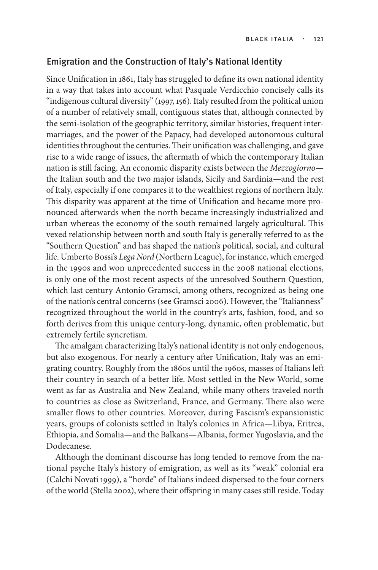#### Emigration and the Construction of Italy's National Identity

Since Unification in 1861, Italy has struggled to define its own national identity in a way that takes into account what Pasquale Verdicchio concisely calls its "indigenous cultural diversity" (1997, 156). Italy resulted from the political union of a number of relatively small, contiguous states that, although connected by the semi-isolation of the geographic territory, similar histories, frequent intermarriages, and the power of the Papacy, had developed autonomous cultural identities throughout the centuries. Their unification was challenging, and gave rise to a wide range of issues, the aftermath of which the contemporary Italian nation is still facing. An economic disparity exists between the *Mezzogiorno* the Italian south and the two major islands, Sicily and Sardinia—and the rest of Italy, especially if one compares it to the wealthiest regions of northern Italy. This disparity was apparent at the time of Unification and became more pronounced afterwards when the north became increasingly industrialized and urban whereas the economy of the south remained largely agricultural. This vexed relationship between north and south Italy is generally referred to as the "Southern Question" and has shaped the nation's political, social, and cultural life. Umberto Bossi's *Lega Nord* (Northern League), for instance, which emerged in the 1990s and won unprecedented success in the 2008 national elections, is only one of the most recent aspects of the unresolved Southern Question, which last century Antonio Gramsci, among others, recognized as being one of the nation's central concerns (see Gramsci 2006). However, the "Italianness" recognized throughout the world in the country's arts, fashion, food, and so forth derives from this unique century-long, dynamic, often problematic, but extremely fertile syncretism.

The amalgam characterizing Italy's national identity is not only endogenous, but also exogenous. For nearly a century after Unification, Italy was an emigrating country. Roughly from the 1860s until the 1960s, masses of Italians left their country in search of a better life. Most settled in the New World, some went as far as Australia and New Zealand, while many others traveled north to countries as close as Switzerland, France, and Germany. There also were smaller flows to other countries. Moreover, during Fascism's expansionistic years, groups of colonists settled in Italy's colonies in Africa—Libya, Eritrea, Ethiopia, and Somalia—and the Balkans—Albania, former Yugoslavia, and the Dodecanese.

Although the dominant discourse has long tended to remove from the national psyche Italy's history of emigration, as well as its "weak" colonial era (Calchi Novati 1999), a "horde" of Italians indeed dispersed to the four corners of the world (Stella 2002), where their offspring in many cases still reside. Today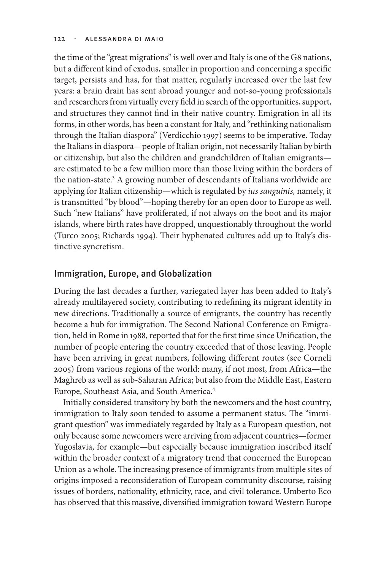the time of the "great migrations" is well over and Italy is one of the G8 nations, but a different kind of exodus, smaller in proportion and concerning a specific target, persists and has, for that matter, regularly increased over the last few years: a brain drain has sent abroad younger and not-so-young professionals and researchers from virtually every field in search of the opportunities, support, and structures they cannot find in their native country. Emigration in all its forms, in other words, has been a constant for Italy, and "rethinking nationalism through the Italian diaspora" (Verdicchio 1997) seems to be imperative. Today the Italians in diaspora—people of Italian origin, not necessarily Italian by birth or citizenship, but also the children and grandchildren of Italian emigrants are estimated to be a few million more than those living within the borders of the nation-state.<sup>3</sup> A growing number of descendants of Italians worldwide are applying for Italian citizenship—which is regulated by *ius sanguinis,* namely, it is transmitted "by blood"—hoping thereby for an open door to Europe as well. Such "new Italians" have proliferated, if not always on the boot and its major islands, where birth rates have dropped, unquestionably throughout the world (Turco 2005; Richards 1994). Their hyphenated cultures add up to Italy's distinctive syncretism.

#### Immigration, Europe, and Globalization

During the last decades a further, variegated layer has been added to Italy's already multilayered society, contributing to redefining its migrant identity in new directions. Traditionally a source of emigrants, the country has recently become a hub for immigration. The Second National Conference on Emigration, held in Rome in 1988, reported that for the first time since Unification, the number of people entering the country exceeded that of those leaving. People have been arriving in great numbers, following different routes (see Corneli 2005) from various regions of the world: many, if not most, from Africa—the Maghreb as well as sub-Saharan Africa; but also from the Middle East, Eastern Europe, Southeast Asia, and South America.<sup>4</sup>

Initially considered transitory by both the newcomers and the host country, immigration to Italy soon tended to assume a permanent status. The "immigrant question" was immediately regarded by Italy as a European question, not only because some newcomers were arriving from adjacent countries—former Yugoslavia, for example—but especially because immigration inscribed itself within the broader context of a migratory trend that concerned the European Union as a whole. The increasing presence of immigrants from multiple sites of origins imposed a reconsideration of European community discourse, raising issues of borders, nationality, ethnicity, race, and civil tolerance. Umberto Eco has observed that this massive, diversified immigration toward Western Europe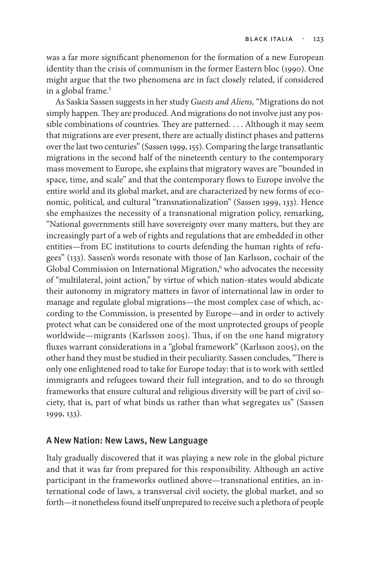was a far more significant phenomenon for the formation of a new European identity than the crisis of communism in the former Eastern bloc (1990). One might argue that the two phenomena are in fact closely related, if considered in a global frame.<sup>5</sup>

As Saskia Sassen suggests in her study *Guests and Aliens,* "Migrations do not simply happen. They are produced. And migrations do not involve just any possible combinations of countries. They are patterned. . . . Although it may seem that migrations are ever present, there are actually distinct phases and patterns over the last two centuries" (Sassen 1999, 155). Comparing the large transatlantic migrations in the second half of the nineteenth century to the contemporary mass movement to Europe, she explains that migratory waves are "bounded in space, time, and scale" and that the contemporary flows to Europe involve the entire world and its global market, and are characterized by new forms of economic, political, and cultural "transnationalization" (Sassen 1999, 133). Hence she emphasizes the necessity of a transnational migration policy, remarking, "National governments still have sovereignty over many matters, but they are increasingly part of a web of rights and regulations that are embedded in other entities—from EC institutions to courts defending the human rights of refugees" (133). Sassen's words resonate with those of Jan Karlsson, cochair of the Global Commission on International Migration,<sup>6</sup> who advocates the necessity of "multilateral, joint action," by virtue of which nation-states would abdicate their autonomy in migratory matters in favor of international law in order to manage and regulate global migrations—the most complex case of which, according to the Commission, is presented by Europe—and in order to actively protect what can be considered one of the most unprotected groups of people worldwide—migrants (Karlsson 2005). Thus, if on the one hand migratory fluxes warrant considerations in a "global framework" (Karlsson 2005), on the other hand they must be studied in their peculiarity. Sassen concludes, "There is only one enlightened road to take for Europe today: that is to work with settled immigrants and refugees toward their full integration, and to do so through frameworks that ensure cultural and religious diversity will be part of civil society, that is, part of what binds us rather than what segregates us" (Sassen 1999, 133).

#### A New Nation: New Laws, New Language

Italy gradually discovered that it was playing a new role in the global picture and that it was far from prepared for this responsibility. Although an active participant in the frameworks outlined above—transnational entities, an international code of laws, a transversal civil society, the global market, and so forth—it nonetheless found itself unprepared to receive such a plethora of people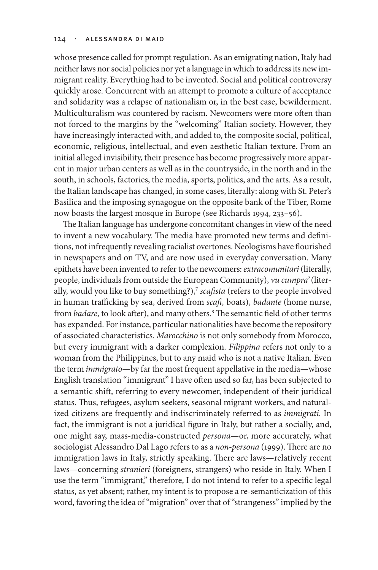whose presence called for prompt regulation. As an emigrating nation, Italy had neither laws nor social policies nor yet a language in which to address its new immigrant reality. Everything had to be invented. Social and political controversy quickly arose. Concurrent with an attempt to promote a culture of acceptance and solidarity was a relapse of nationalism or, in the best case, bewilderment. Multiculturalism was countered by racism. Newcomers were more often than not forced to the margins by the "welcoming" Italian society. However, they have increasingly interacted with, and added to, the composite social, political, economic, religious, intellectual, and even aesthetic Italian texture. From an initial alleged invisibility, their presence has become progressively more apparent in major urban centers as well as in the countryside, in the north and in the south, in schools, factories, the media, sports, politics, and the arts. As a result, the Italian landscape has changed, in some cases, literally: along with St. Peter's Basilica and the imposing synagogue on the opposite bank of the Tiber, Rome now boasts the largest mosque in Europe (see Richards 1994, 233–56).

The Italian language has undergone concomitant changes in view of the need to invent a new vocabulary. The media have promoted new terms and definitions, not infrequently revealing racialist overtones. Neologisms have flourished in newspapers and on TV, and are now used in everyday conversation. Many epithets have been invented to refer to the newcomers: *extracomunitari* (literally, people, individuals from outside the European Community), *vu cumpra'* (literally, would you like to buy something?),<sup>7</sup> scafista (refers to the people involved in human trafficking by sea, derived from *scafi,* boats), *badante* (home nurse, from *badare*, to look after), and many others.<sup>8</sup> The semantic field of other terms has expanded. For instance, particular nationalities have become the repository of associated characteristics. *Marocchino* is not only somebody from Morocco, but every immigrant with a darker complexion. *Filippina* refers not only to a woman from the Philippines, but to any maid who is not a native Italian. Even the term *immigrato*—by far the most frequent appellative in the media—whose English translation "immigrant" I have often used so far, has been subjected to a semantic shift, referring to every newcomer, independent of their juridical status. Thus, refugees, asylum seekers, seasonal migrant workers, and naturalized citizens are frequently and indiscriminately referred to as *immigrati.* In fact, the immigrant is not a juridical figure in Italy, but rather a socially, and, one might say, mass-media-constructed *persona*—or, more accurately, what sociologist Alessandro Dal Lago refers to as a *non-persona* (1999). There are no immigration laws in Italy, strictly speaking. There are laws—relatively recent laws—concerning *stranieri* (foreigners, strangers) who reside in Italy. When I use the term "immigrant," therefore, I do not intend to refer to a specific legal status, as yet absent; rather, my intent is to propose a re-semanticization of this word, favoring the idea of "migration" over that of "strangeness" implied by the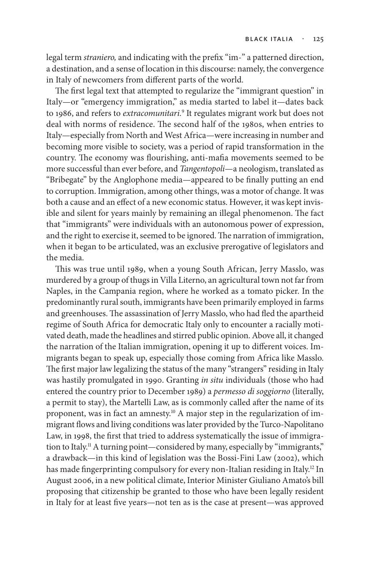legal term *straniero,* and indicating with the prefix "im-" a patterned direction, a destination, and a sense of location in this discourse: namely, the convergence in Italy of newcomers from different parts of the world.

The first legal text that attempted to regularize the "immigrant question" in Italy—or "emergency immigration," as media started to label it—dates back to 1986, and refers to *extracomunitari.*<sup>9</sup> It regulates migrant work but does not deal with norms of residence. The second half of the 1980s, when entries to Italy—especially from North and West Africa—were increasing in number and becoming more visible to society, was a period of rapid transformation in the country. The economy was flourishing, anti-mafia movements seemed to be more successful than ever before, and *Tangentopoli*—a neologism, translated as "Bribegate" by the Anglophone media—appeared to be finally putting an end to corruption. Immigration, among other things, was a motor of change. It was both a cause and an effect of a new economic status. However, it was kept invisible and silent for years mainly by remaining an illegal phenomenon. The fact that "immigrants" were individuals with an autonomous power of expression, and the right to exercise it, seemed to be ignored. The narration of immigration, when it began to be articulated, was an exclusive prerogative of legislators and the media.

This was true until 1989, when a young South African, Jerry Masslo, was murdered by a group of thugs in Villa Literno, an agricultural town not far from Naples, in the Campania region, where he worked as a tomato picker. In the predominantly rural south, immigrants have been primarily employed in farms and greenhouses. The assassination of Jerry Masslo, who had fled the apartheid regime of South Africa for democratic Italy only to encounter a racially motivated death, made the headlines and stirred public opinion. Above all, it changed the narration of the Italian immigration, opening it up to different voices. Immigrants began to speak up, especially those coming from Africa like Masslo. The first major law legalizing the status of the many "strangers" residing in Italy was hastily promulgated in 1990. Granting *in situ* individuals (those who had entered the country prior to December 1989) a *permesso di soggiorno* (literally, a permit to stay), the Martelli Law, as is commonly called after the name of its proponent, was in fact an amnesty.<sup>10</sup> A major step in the regularization of immigrant flows and living conditions was later provided by the Turco-Napolitano Law, in 1998, the first that tried to address systematically the issue of immigration to Italy.<sup>11</sup> A turning point—considered by many, especially by "immigrants," a drawback—in this kind of legislation was the Bossi-Fini Law (2002), which has made fingerprinting compulsory for every non-Italian residing in Italy.<sup>12</sup> In August 2006, in a new political climate, Interior Minister Giuliano Amato's bill proposing that citizenship be granted to those who have been legally resident in Italy for at least five years—not ten as is the case at present—was approved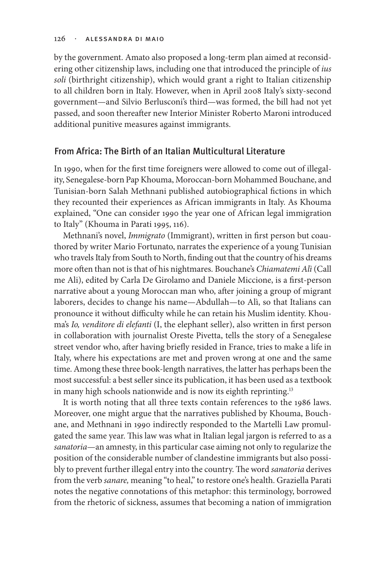by the government. Amato also proposed a long-term plan aimed at reconsidering other citizenship laws, including one that introduced the principle of *ius soli* (birthright citizenship), which would grant a right to Italian citizenship to all children born in Italy. However, when in April 2008 Italy's sixty-second government—and Silvio Berlusconi's third—was formed, the bill had not yet passed, and soon thereafter new Interior Minister Roberto Maroni introduced additional punitive measures against immigrants.

#### From Africa: The Birth of an Italian Multicultural Literature

In 1990, when for the first time foreigners were allowed to come out of illegality, Senegalese-born Pap Khouma, Moroccan-born Mohammed Bouchane, and Tunisian-born Salah Methnani published autobiographical fictions in which they recounted their experiences as African immigrants in Italy. As Khouma explained, "One can consider 1990 the year one of African legal immigration to Italy" (Khouma in Parati 1995, 116).

Methnani's novel, *Immigrato* (Immigrant), written in first person but coauthored by writer Mario Fortunato, narrates the experience of a young Tunisian who travels Italy from South to North, finding out that the country of his dreams more often than not is that of his nightmares. Bouchane's *Chiamatemi Alì* (Call me Ali), edited by Carla De Girolamo and Daniele Miccione, is a first-person narrative about a young Moroccan man who, after joining a group of migrant laborers, decides to change his name—Abdullah—to Alì, so that Italians can pronounce it without difficulty while he can retain his Muslim identity. Khouma's *Io, venditore di elefanti* (I, the elephant seller), also written in first person in collaboration with journalist Oreste Pivetta, tells the story of a Senegalese street vendor who, after having briefly resided in France, tries to make a life in Italy, where his expectations are met and proven wrong at one and the same time. Among these three book-length narratives, the latter has perhaps been the most successful: a best seller since its publication, it has been used as a textbook in many high schools nationwide and is now its eighth reprinting.<sup>13</sup>

It is worth noting that all three texts contain references to the 1986 laws. Moreover, one might argue that the narratives published by Khouma, Bouchane, and Methnani in 1990 indirectly responded to the Martelli Law promulgated the same year. This law was what in Italian legal jargon is referred to as a *sanatoria*—an amnesty, in this particular case aiming not only to regularize the position of the considerable number of clandestine immigrants but also possibly to prevent further illegal entry into the country. The word *sanatoria* derives from the verb *sanare,* meaning "to heal," to restore one's health. Graziella Parati notes the negative connotations of this metaphor: this terminology, borrowed from the rhetoric of sickness, assumes that becoming a nation of immigration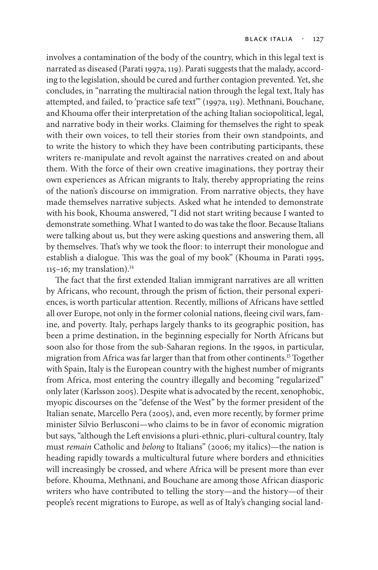involves a contamination of the body of the country, which in this legal text is narrated as diseased (Parati 1997a, 119). Parati suggests that the malady, according to the legislation, should be cured and further contagion prevented. Yet, she concludes, in "narrating the multiracial nation through the legal text, Italy has attempted, and failed, to 'practice safe text'" (1997a, 119). Methnani, Bouchane, and Khouma offer their interpretation of the aching Italian sociopolitical, legal, and narrative body in their works. Claiming for themselves the right to speak with their own voices, to tell their stories from their own standpoints, and to write the history to which they have been contributing participants, these writers re-manipulate and revolt against the narratives created on and about them. With the force of their own creative imaginations, they portray their own experiences as African migrants to Italy, thereby appropriating the reins of the nation's discourse on immigration. From narrative objects, they have made themselves narrative subjects. Asked what he intended to demonstrate with his book, Khouma answered, "I did not start writing because I wanted to demonstrate something. What I wanted to do was take the floor. Because Italians were talking about us, but they were asking questions and answering them, all by themselves. That's why we took the floor: to interrupt their monologue and establish a dialogue. This was the goal of my book" (Khouma in Parati 1995,  $115-16$ ; my translation).<sup>14</sup>

The fact that the first extended Italian immigrant narratives are all written by Africans, who recount, through the prism of fiction, their personal experiences, is worth particular attention. Recently, millions of Africans have settled all over Europe, not only in the former colonial nations, fleeing civil wars, famine, and poverty. Italy, perhaps largely thanks to its geographic position, has been a prime destination, in the beginning especially for North Africans but soon also for those from the sub-Saharan regions. In the 1990s, in particular, migration from Africa was far larger than that from other continents.15 Together with Spain, Italy is the European country with the highest number of migrants from Africa, most entering the country illegally and becoming "regularized" only later (Karlsson 2005). Despite what is advocated by the recent, xenophobic, myopic discourses on the "defense of the West" by the former president of the Italian senate, Marcello Pera (2005), and, even more recently, by former prime minister Silvio Berlusconi—who claims to be in favor of economic migration but says, "although the Left envisions a pluri-ethnic, pluri-cultural country, Italy must *remain* Catholic and *belong* to Italians" (2006; my italics)—the nation is heading rapidly towards a multicultural future where borders and ethnicities will increasingly be crossed, and where Africa will be present more than ever before. Khouma, Methnani, and Bouchane are among those African diasporic writers who have contributed to telling the story—and the history—of their people's recent migrations to Europe, as well as of Italy's changing social land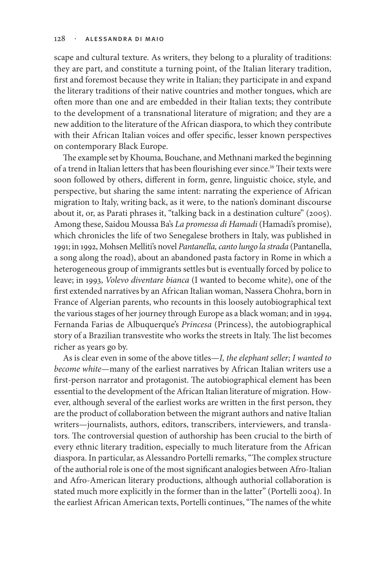scape and cultural texture. As writers, they belong to a plurality of traditions: they are part, and constitute a turning point, of the Italian literary tradition, first and foremost because they write in Italian; they participate in and expand the literary traditions of their native countries and mother tongues, which are often more than one and are embedded in their Italian texts; they contribute to the development of a transnational literature of migration; and they are a new addition to the literature of the African diaspora, to which they contribute with their African Italian voices and offer specific, lesser known perspectives on contemporary Black Europe.

The example set by Khouma, Bouchane, and Methnani marked the beginning of a trend in Italian letters that has been flourishing ever since.<sup>16</sup> Their texts were soon followed by others, different in form, genre, linguistic choice, style, and perspective, but sharing the same intent: narrating the experience of African migration to Italy, writing back, as it were, to the nation's dominant discourse about it, or, as Parati phrases it, "talking back in a destination culture" (2005). Among these, Saidou Moussa Ba's *La promessa di Hamadi* (Hamadi's promise), which chronicles the life of two Senegalese brothers in Italy, was published in 1991; in 1992, Mohsen Melliti's novel *Pantanella, canto lungo la strada* (Pantanella, a song along the road), about an abandoned pasta factory in Rome in which a heterogeneous group of immigrants settles but is eventually forced by police to leave; in 1993, *Volevo diventare bianca* (I wanted to become white), one of the first extended narratives by an African Italian woman, Nassera Chohra, born in France of Algerian parents, who recounts in this loosely autobiographical text the various stages of her journey through Europe as a black woman; and in 1994, Fernanda Farias de Albuquerque's *Princesa* (Princess), the autobiographical story of a Brazilian transvestite who works the streets in Italy. The list becomes richer as years go by.

As is clear even in some of the above titles—*I, the elephant seller; I wanted to become white*—many of the earliest narratives by African Italian writers use a first-person narrator and protagonist. The autobiographical element has been essential to the development of the African Italian literature of migration. However, although several of the earliest works are written in the first person, they are the product of collaboration between the migrant authors and native Italian writers—journalists, authors, editors, transcribers, interviewers, and translators. The controversial question of authorship has been crucial to the birth of every ethnic literary tradition, especially to much literature from the African diaspora. In particular, as Alessandro Portelli remarks, "The complex structure of the authorial role is one of the most significant analogies between Afro-Italian and Afro-American literary productions, although authorial collaboration is stated much more explicitly in the former than in the latter" (Portelli 2004). In the earliest African American texts, Portelli continues, "The names of the white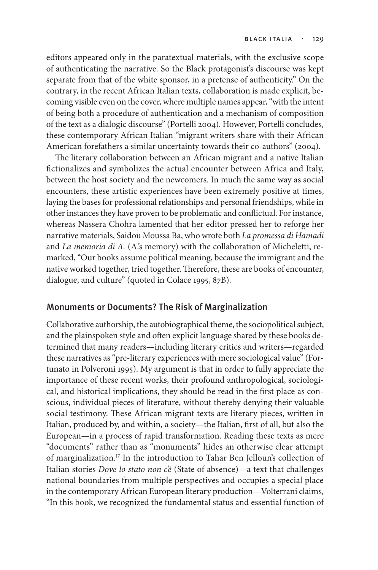editors appeared only in the paratextual materials, with the exclusive scope of authenticating the narrative. So the Black protagonist's discourse was kept separate from that of the white sponsor, in a pretense of authenticity." On the contrary, in the recent African Italian texts, collaboration is made explicit, becoming visible even on the cover, where multiple names appear, "with the intent of being both a procedure of authentication and a mechanism of composition of the text as a dialogic discourse" (Portelli 2004). However, Portelli concludes, these contemporary African Italian "migrant writers share with their African American forefathers a similar uncertainty towards their co-authors" (2004).

The literary collaboration between an African migrant and a native Italian fictionalizes and symbolizes the actual encounter between Africa and Italy, between the host society and the newcomers. In much the same way as social encounters, these artistic experiences have been extremely positive at times, laying the bases for professional relationships and personal friendships, while in other instances they have proven to be problematic and conflictual. For instance, whereas Nassera Chohra lamented that her editor pressed her to reforge her narrative materials, Saidou Moussa Ba, who wrote both *La promessa di Hamadi* and *La memoria di A.* (A.'s memory) with the collaboration of Micheletti, remarked, "Our books assume political meaning, because the immigrant and the native worked together, tried together. Therefore, these are books of encounter, dialogue, and culture" (quoted in Colace 1995, 87B).

#### Monuments or Documents? The Risk of Marginalization

Collaborative authorship, the autobiographical theme, the sociopolitical subject, and the plainspoken style and often explicit language shared by these books determined that many readers—including literary critics and writers—regarded these narratives as "pre-literary experiences with mere sociological value" (Fortunato in Polveroni 1995). My argument is that in order to fully appreciate the importance of these recent works, their profound anthropological, sociological, and historical implications, they should be read in the first place as conscious, individual pieces of literature, without thereby denying their valuable social testimony. These African migrant texts are literary pieces, written in Italian, produced by, and within, a society—the Italian, first of all, but also the European—in a process of rapid transformation. Reading these texts as mere "documents" rather than as "monuments" hides an otherwise clear attempt of marginalization.17 In the introduction to Tahar Ben Jelloun's collection of Italian stories *Dove lo stato non c'è* (State of absence)—a text that challenges national boundaries from multiple perspectives and occupies a special place in the contemporary African European literary production—Volterrani claims, "In this book, we recognized the fundamental status and essential function of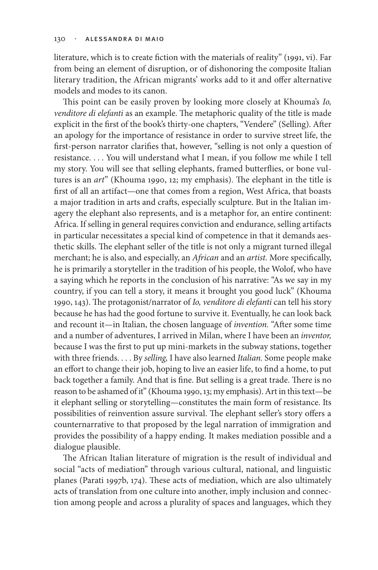literature, which is to create fiction with the materials of reality" (1991, vi). Far from being an element of disruption, or of dishonoring the composite Italian literary tradition, the African migrants' works add to it and offer alternative models and modes to its canon.

This point can be easily proven by looking more closely at Khouma's *Io, venditore di elefanti* as an example. The metaphoric quality of the title is made explicit in the first of the book's thirty-one chapters, "Vendere" (Selling). After an apology for the importance of resistance in order to survive street life, the first-person narrator clarifies that, however, "selling is not only a question of resistance. . . . You will understand what I mean, if you follow me while I tell my story. You will see that selling elephants, framed butterflies, or bone vultures is an *art*" (Khouma 1990, 12; my emphasis). The elephant in the title is first of all an artifact—one that comes from a region, West Africa, that boasts a major tradition in arts and crafts, especially sculpture. But in the Italian imagery the elephant also represents, and is a metaphor for, an entire continent: Africa. If selling in general requires conviction and endurance, selling artifacts in particular necessitates a special kind of competence in that it demands aesthetic skills. The elephant seller of the title is not only a migrant turned illegal merchant; he is also, and especially, an *African* and an *artist.* More specifically, he is primarily a storyteller in the tradition of his people, the Wolof, who have a saying which he reports in the conclusion of his narrative: "As we say in my country, if you can tell a story, it means it brought you good luck" (Khouma 1990, 143). The protagonist/narrator of *Io, venditore di elefanti* can tell his story because he has had the good fortune to survive it. Eventually, he can look back and recount it—in Italian, the chosen language of *invention.* "After some time and a number of adventures, I arrived in Milan, where I have been an *inventor,* because I was the first to put up mini-markets in the subway stations, together with three friends. . . . By *selling,* I have also learned *Italian.* Some people make an effort to change their job, hoping to live an easier life, to find a home, to put back together a family. And that is fine. But selling is a great trade. There is no reason to be ashamed of it" (Khouma 1990, 13; my emphasis). Art in this text—be it elephant selling or storytelling—constitutes the main form of resistance. Its possibilities of reinvention assure survival. The elephant seller's story offers a counternarrative to that proposed by the legal narration of immigration and provides the possibility of a happy ending. It makes mediation possible and a dialogue plausible.

The African Italian literature of migration is the result of individual and social "acts of mediation" through various cultural, national, and linguistic planes (Parati 1997b, 174). These acts of mediation, which are also ultimately acts of translation from one culture into another, imply inclusion and connection among people and across a plurality of spaces and languages, which they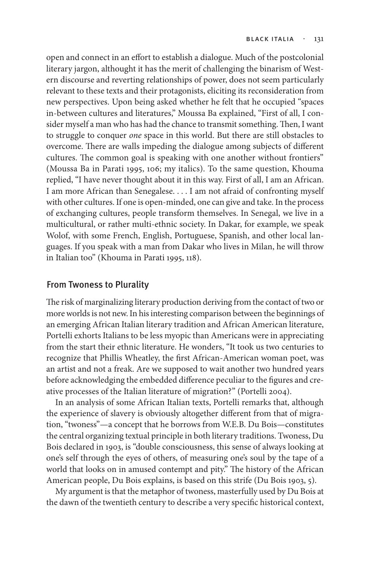open and connect in an effort to establish a dialogue. Much of the postcolonial literary jargon, althought it has the merit of challenging the binarism of Western discourse and reverting relationships of power, does not seem particularly relevant to these texts and their protagonists, eliciting its reconsideration from new perspectives. Upon being asked whether he felt that he occupied "spaces in-between cultures and literatures," Moussa Ba explained, "First of all, I consider myself a man who has had the chance to transmit something. Then, I want to struggle to conquer *one* space in this world. But there are still obstacles to overcome. There are walls impeding the dialogue among subjects of different cultures. The common goal is speaking with one another without frontiers" (Moussa Ba in Parati 1995, 106; my italics). To the same question, Khouma replied, "I have never thought about it in this way. First of all, I am an African. I am more African than Senegalese. . . . I am not afraid of confronting myself with other cultures. If one is open-minded, one can give and take. In the process of exchanging cultures, people transform themselves. In Senegal, we live in a multicultural, or rather multi-ethnic society. In Dakar, for example, we speak Wolof, with some French, English, Portuguese, Spanish, and other local languages. If you speak with a man from Dakar who lives in Milan, he will throw in Italian too" (Khouma in Parati 1995, 118).

#### From Twoness to Plurality

The risk of marginalizing literary production deriving from the contact of two or more worlds is not new. In his interesting comparison between the beginnings of an emerging African Italian literary tradition and African American literature, Portelli exhorts Italians to be less myopic than Americans were in appreciating from the start their ethnic literature. He wonders, "It took us two centuries to recognize that Phillis Wheatley, the first African-American woman poet, was an artist and not a freak. Are we supposed to wait another two hundred years before acknowledging the embedded difference peculiar to the figures and creative processes of the Italian literature of migration?" (Portelli 2004).

In an analysis of some African Italian texts, Portelli remarks that, although the experience of slavery is obviously altogether different from that of migration, "twoness"—a concept that he borrows from W.E.B. Du Bois—constitutes the central organizing textual principle in both literary traditions. Twoness, Du Bois declared in 1903, is "double consciousness, this sense of always looking at one's self through the eyes of others, of measuring one's soul by the tape of a world that looks on in amused contempt and pity." The history of the African American people, Du Bois explains, is based on this strife (Du Bois 1903, 5).

My argument is that the metaphor of twoness, masterfully used by Du Bois at the dawn of the twentieth century to describe a very specific historical context,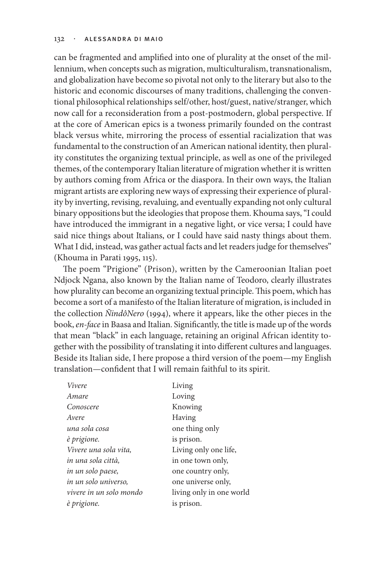can be fragmented and amplified into one of plurality at the onset of the millennium, when concepts such as migration, multiculturalism, transnationalism, and globalization have become so pivotal not only to the literary but also to the historic and economic discourses of many traditions, challenging the conventional philosophical relationships self/other, host/guest, native/stranger, which now call for a reconsideration from a post-postmodern, global perspective. If at the core of American epics is a twoness primarily founded on the contrast black versus white, mirroring the process of essential racialization that was fundamental to the construction of an American national identity, then plurality constitutes the organizing textual principle, as well as one of the privileged themes, of the contemporary Italian literature of migration whether it is written by authors coming from Africa or the diaspora. In their own ways, the Italian migrant artists are exploring new ways of expressing their experience of plurality by inverting, revising, revaluing, and eventually expanding not only cultural binary oppositions but the ideologies that propose them. Khouma says, "I could have introduced the immigrant in a negative light, or vice versa; I could have said nice things about Italians, or I could have said nasty things about them. What I did, instead, was gather actual facts and let readers judge for themselves" (Khouma in Parati 1995, 115).

The poem "Prigione" (Prison), written by the Cameroonian Italian poet Ndjock Ngana, also known by the Italian name of Teodoro, clearly illustrates how plurality can become an organizing textual principle. This poem, which has become a sort of a manifesto of the Italian literature of migration, is included in the collection *ÑindôNero* (1994), where it appears, like the other pieces in the book, *en-face* in Baasa and Italian. Significantly, the title is made up of the words that mean "black" in each language, retaining an original African identity together with the possibility of translating it into different cultures and languages. Beside its Italian side, I here propose a third version of the poem—my English translation—confident that I will remain faithful to its spirit.

| Vivere                  | Living                   |
|-------------------------|--------------------------|
| Amare                   | Loving                   |
| Conoscere               | Knowing                  |
| Avere                   | Having                   |
| una sola cosa           | one thing only           |
| è prigione.             | is prison.               |
| Vivere una sola vita,   | Living only one life,    |
| in una sola città,      | in one town only,        |
| in un solo paese,       | one country only,        |
| in un solo universo,    | one universe only,       |
| vivere in un solo mondo | living only in one world |
| è prigione.             | is prison.               |
|                         |                          |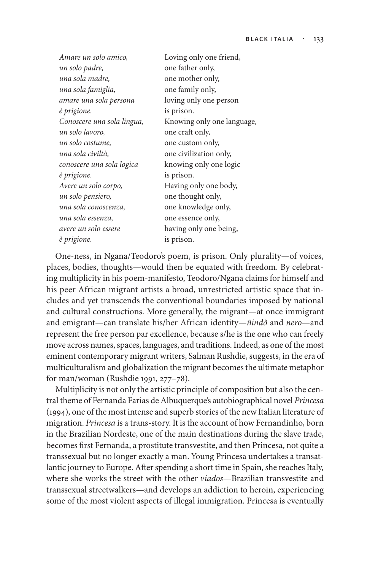| Amare un solo amico.       | Loving only one friend,    |
|----------------------------|----------------------------|
| un solo padre,             | one father only,           |
| una sola madre.            | one mother only,           |
| una sola famiglia,         | one family only,           |
| amare una sola persona     | loving only one person     |
| è prigione.                | is prison.                 |
| Conoscere una sola lingua, | Knowing only one language, |
| un solo lavoro.            | one craft only,            |
| un solo costume,           | one custom only,           |
| una sola civiltà.          | one civilization only,     |
| conoscere una sola logica  | knowing only one logic     |
| <i>è prigione.</i>         | is prison.                 |
| Avere un solo corpo,       | Having only one body,      |
| un solo pensiero,          | one thought only,          |
| una sola conoscenza,       | one knowledge only,        |
| una sola essenza,          | one essence only,          |
| avere un solo essere       | having only one being,     |
| è prigione.                | is prison.                 |
|                            |                            |

One-ness, in Ngana/Teodoro's poem, is prison. Only plurality—of voices, places, bodies, thoughts—would then be equated with freedom. By celebrating multiplicity in his poem-manifesto, Teodoro/Ngana claims for himself and his peer African migrant artists a broad, unrestricted artistic space that includes and yet transcends the conventional boundaries imposed by national and cultural constructions. More generally, the migrant—at once immigrant and emigrant—can translate his/her African identity—*ñindô* and *nero*—and represent the free person par excellence, because s/he is the one who can freely move across names, spaces, languages, and traditions. Indeed, as one of the most eminent contemporary migrant writers, Salman Rushdie, suggests, in the era of multiculturalism and globalization the migrant becomes the ultimate metaphor for man/woman (Rushdie 1991, 277–78).

Multiplicity is not only the artistic principle of composition but also the central theme of Fernanda Farias de Albuquerque's autobiographical novel *Princesa* (1994), one of the most intense and superb stories of the new Italian literature of migration. *Princesa* is a trans-story. It is the account of how Fernandinho, born in the Brazilian Nordeste, one of the main destinations during the slave trade, becomes first Fernanda, a prostitute transvestite, and then Princesa, not quite a transsexual but no longer exactly a man. Young Princesa undertakes a transatlantic journey to Europe. After spending a short time in Spain, she reaches Italy, where she works the street with the other *viados*—Brazilian transvestite and transsexual streetwalkers—and develops an addiction to heroin, experiencing some of the most violent aspects of illegal immigration. Princesa is eventually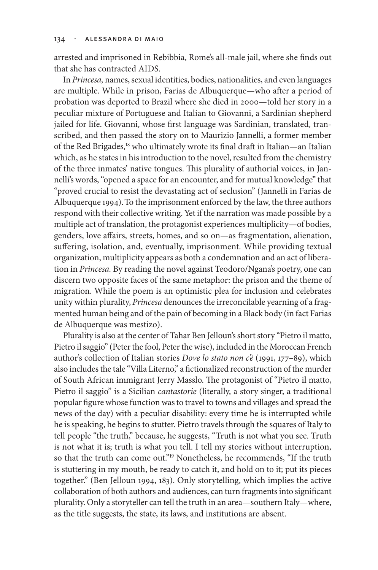arrested and imprisoned in Rebibbia, Rome's all-male jail, where she finds out that she has contracted AIDS.

In *Princesa,* names, sexual identities, bodies, nationalities, and even languages are multiple. While in prison, Farias de Albuquerque—who after a period of probation was deported to Brazil where she died in 2000—told her story in a peculiar mixture of Portuguese and Italian to Giovanni, a Sardinian shepherd jailed for life. Giovanni, whose first language was Sardinian, translated, transcribed, and then passed the story on to Maurizio Jannelli, a former member of the Red Brigades,<sup>18</sup> who ultimately wrote its final draft in Italian—an Italian which, as he states in his introduction to the novel, resulted from the chemistry of the three inmates' native tongues. This plurality of authorial voices, in Jannelli's words, "opened a space for an encounter, and for mutual knowledge" that "proved crucial to resist the devastating act of seclusion" (Jannelli in Farias de Albuquerque 1994).To the imprisonment enforced by the law, the three authors respond with their collective writing. Yet if the narration was made possible by a multiple act of translation, the protagonist experiences multiplicity—of bodies, genders, love affairs, streets, homes, and so on—as fragmentation, alienation, suffering, isolation, and, eventually, imprisonment. While providing textual organization, multiplicity appears as both a condemnation and an act of liberation in *Princesa.* By reading the novel against Teodoro/Ngana's poetry, one can discern two opposite faces of the same metaphor: the prison and the theme of migration. While the poem is an optimistic plea for inclusion and celebrates unity within plurality, *Princesa* denounces the irreconcilable yearning of a fragmented human being and of the pain of becoming in a Black body (in fact Farias de Albuquerque was mestizo).

Plurality is also at the center of Tahar Ben Jelloun's short story "Pietro il matto, Pietro il saggio" (Peter the fool, Peter the wise), included in the Moroccan French author's collection of Italian stories *Dove lo stato non c'è* (1991, 177–89), which also includes the tale "Villa Literno," a fictionalized reconstruction of the murder of South African immigrant Jerry Masslo. The protagonist of "Pietro il matto, Pietro il saggio" is a Sicilian *cantastorie* (literally, a story singer, a traditional popular figure whose function was to travel to towns and villages and spread the news of the day) with a peculiar disability: every time he is interrupted while he is speaking, he begins to stutter. Pietro travels through the squares of Italy to tell people "the truth," because, he suggests, "Truth is not what you see. Truth is not what it is; truth is what you tell. I tell my stories without interruption, so that the truth can come out."19 Nonetheless, he recommends, "If the truth is stuttering in my mouth, be ready to catch it, and hold on to it; put its pieces together." (Ben Jelloun 1994, 183). Only storytelling, which implies the active collaboration of both authors and audiences, can turn fragments into significant plurality. Only a storyteller can tell the truth in an area—southern Italy—where, as the title suggests, the state, its laws, and institutions are absent.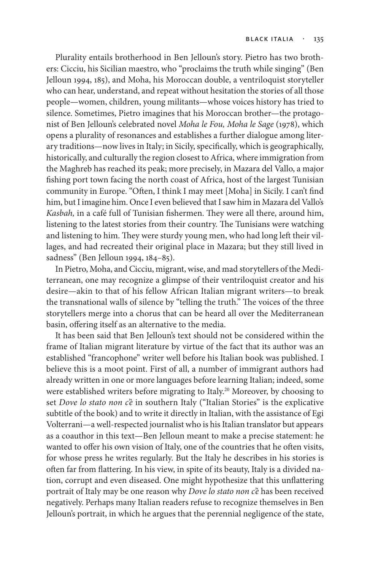Plurality entails brotherhood in Ben Jelloun's story. Pietro has two brothers: Cicciu, his Sicilian maestro, who "proclaims the truth while singing" (Ben Jelloun 1994, 185), and Moha, his Moroccan double, a ventriloquist storyteller who can hear, understand, and repeat without hesitation the stories of all those people—women, children, young militants—whose voices history has tried to silence. Sometimes, Pietro imagines that his Moroccan brother—the protagonist of Ben Jelloun's celebrated novel *Moha le Fou, Moha le Sage* (1978), which opens a plurality of resonances and establishes a further dialogue among literary traditions—now lives in Italy; in Sicily, specifically, which is geographically, historically, and culturally the region closest to Africa, where immigration from the Maghreb has reached its peak; more precisely, in Mazara del Vallo, a major fishing port town facing the north coast of Africa, host of the largest Tunisian community in Europe. "Often, I think I may meet [Moha] in Sicily. I can't find him, but I imagine him. Once I even believed that I saw him in Mazara del Vallo's *Kasbah,* in a café full of Tunisian fishermen. They were all there, around him, listening to the latest stories from their country. The Tunisians were watching and listening to him. They were sturdy young men, who had long left their villages, and had recreated their original place in Mazara; but they still lived in sadness" (Ben Jelloun 1994, 184–85).

In Pietro, Moha, and Cicciu, migrant, wise, and mad storytellers of the Mediterranean, one may recognize a glimpse of their ventriloquist creator and his desire—akin to that of his fellow African Italian migrant writers—to break the transnational walls of silence by "telling the truth." The voices of the three storytellers merge into a chorus that can be heard all over the Mediterranean basin, offering itself as an alternative to the media.

It has been said that Ben Jelloun's text should not be considered within the frame of Italian migrant literature by virtue of the fact that its author was an established "francophone" writer well before his Italian book was published. I believe this is a moot point. First of all, a number of immigrant authors had already written in one or more languages before learning Italian; indeed, some were established writers before migrating to Italy.<sup>20</sup> Moreover, by choosing to set *Dove lo stato non c'è* in southern Italy ("Italian Stories" is the explicative subtitle of the book) and to write it directly in Italian, with the assistance of Egi Volterrani—a well-respected journalist who is his Italian translator but appears as a coauthor in this text—Ben Jelloun meant to make a precise statement: he wanted to offer his own vision of Italy, one of the countries that he often visits, for whose press he writes regularly. But the Italy he describes in his stories is often far from flattering. In his view, in spite of its beauty, Italy is a divided nation, corrupt and even diseased. One might hypothesize that this unflattering portrait of Italy may be one reason why *Dove lo stato non c'è* has been received negatively. Perhaps many Italian readers refuse to recognize themselves in Ben Jelloun's portrait, in which he argues that the perennial negligence of the state,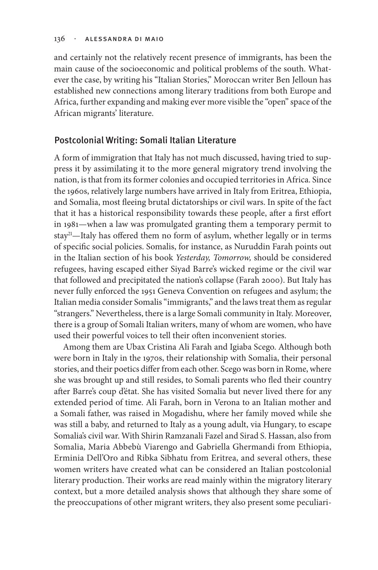and certainly not the relatively recent presence of immigrants, has been the main cause of the socioeconomic and political problems of the south. Whatever the case, by writing his "Italian Stories," Moroccan writer Ben Jelloun has established new connections among literary traditions from both Europe and Africa, further expanding and making ever more visible the "open" space of the African migrants' literature.

#### Postcolonial Writing: Somali Italian Literature

A form of immigration that Italy has not much discussed, having tried to suppress it by assimilating it to the more general migratory trend involving the nation, is that from its former colonies and occupied territories in Africa. Since the 1960s, relatively large numbers have arrived in Italy from Eritrea, Ethiopia, and Somalia, most fleeing brutal dictatorships or civil wars. In spite of the fact that it has a historical responsibility towards these people, after a first effort in 1981—when a law was promulgated granting them a temporary permit to stay<sup>21</sup>—Italy has offered them no form of asylum, whether legally or in terms of specific social policies. Somalis, for instance, as Nuruddin Farah points out in the Italian section of his book *Yesterday, Tomorrow,* should be considered refugees, having escaped either Siyad Barre's wicked regime or the civil war that followed and precipitated the nation's collapse (Farah 2000). But Italy has never fully enforced the 1951 Geneva Convention on refugees and asylum; the Italian media consider Somalis "immigrants," and the laws treat them as regular "strangers." Nevertheless, there is a large Somali community in Italy. Moreover, there is a group of Somali Italian writers, many of whom are women, who have used their powerful voices to tell their often inconvenient stories.

Among them are Ubax Cristina Ali Farah and Igiaba Scego. Although both were born in Italy in the 1970s, their relationship with Somalia, their personal stories, and their poetics differ from each other. Scego was born in Rome, where she was brought up and still resides, to Somali parents who fled their country after Barre's coup d'état. She has visited Somalia but never lived there for any extended period of time. Ali Farah, born in Verona to an Italian mother and a Somali father, was raised in Mogadishu, where her family moved while she was still a baby, and returned to Italy as a young adult, via Hungary, to escape Somalia's civil war. With Shirin Ramzanali Fazel and Sirad S. Hassan, also from Somalia, Maria Abbebù Viarengo and Gabriella Ghermandi from Ethiopia, Erminia Dell'Oro and Ribka Sibhatu from Eritrea, and several others, these women writers have created what can be considered an Italian postcolonial literary production. Their works are read mainly within the migratory literary context, but a more detailed analysis shows that although they share some of the preoccupations of other migrant writers, they also present some peculiari-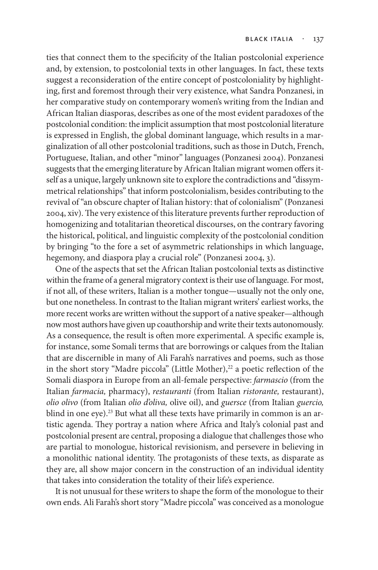ties that connect them to the specificity of the Italian postcolonial experience and, by extension, to postcolonial texts in other languages. In fact, these texts suggest a reconsideration of the entire concept of postcoloniality by highlighting, first and foremost through their very existence, what Sandra Ponzanesi, in her comparative study on contemporary women's writing from the Indian and African Italian diasporas, describes as one of the most evident paradoxes of the postcolonial condition: the implicit assumption that most postcolonial literature is expressed in English, the global dominant language, which results in a marginalization of all other postcolonial traditions, such as those in Dutch, French, Portuguese, Italian, and other "minor" languages (Ponzanesi 2004). Ponzanesi suggests that the emerging literature by African Italian migrant women offers itself as a unique, largely unknown site to explore the contradictions and "dissymmetrical relationships" that inform postcolonialism, besides contributing to the revival of "an obscure chapter of Italian history: that of colonialism" (Ponzanesi 2004, xiv). The very existence of this literature prevents further reproduction of homogenizing and totalitarian theoretical discourses, on the contrary favoring the historical, political, and linguistic complexity of the postcolonial condition by bringing "to the fore a set of asymmetric relationships in which language, hegemony, and diaspora play a crucial role" (Ponzanesi 2004, 3).

One of the aspects that set the African Italian postcolonial texts as distinctive within the frame of a general migratory context is their use of language. For most, if not all, of these writers, Italian is a mother tongue—usually not the only one, but one nonetheless. In contrast to the Italian migrant writers' earliest works, the more recent works are written without the support of a native speaker—although now most authors have given up coauthorship and write their texts autonomously. As a consequence, the result is often more experimental. A specific example is, for instance, some Somali terms that are borrowings or calques from the Italian that are discernible in many of Ali Farah's narratives and poems, such as those in the short story "Madre piccola" (Little Mother), $22$  a poetic reflection of the Somali diaspora in Europe from an all-female perspective: *farmascio* (from the Italian *farmacia,* pharmacy), *restauranti* (from Italian *ristorante,* restaurant), *olio olivo* (from Italian *olio d'oliva,* olive oil), and *guersce* (from Italian *guercio,* blind in one eye).<sup>23</sup> But what all these texts have primarily in common is an artistic agenda. They portray a nation where Africa and Italy's colonial past and postcolonial present are central, proposing a dialogue that challenges those who are partial to monologue, historical revisionism, and persevere in believing in a monolithic national identity. The protagonists of these texts, as disparate as they are, all show major concern in the construction of an individual identity that takes into consideration the totality of their life's experience.

It is not unusual for these writers to shape the form of the monologue to their own ends. Ali Farah's short story "Madre piccola" was conceived as a monologue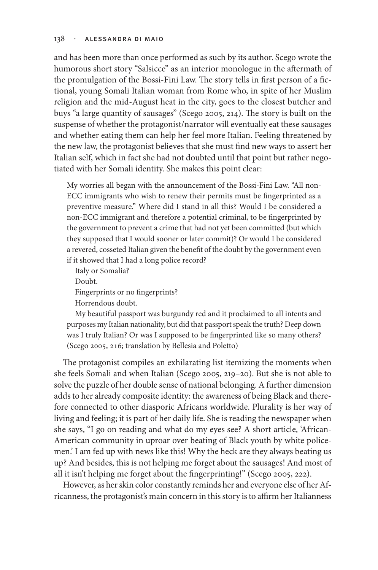and has been more than once performed as such by its author. Scego wrote the humorous short story "Salsicce" as an interior monologue in the aftermath of the promulgation of the Bossi-Fini Law. The story tells in first person of a fictional, young Somali Italian woman from Rome who, in spite of her Muslim religion and the mid-August heat in the city, goes to the closest butcher and buys "a large quantity of sausages" (Scego 2005, 214). The story is built on the suspense of whether the protagonist/narrator will eventually eat these sausages and whether eating them can help her feel more Italian. Feeling threatened by the new law, the protagonist believes that she must find new ways to assert her Italian self, which in fact she had not doubted until that point but rather negotiated with her Somali identity. She makes this point clear:

My worries all began with the announcement of the Bossi-Fini Law. "All non-ECC immigrants who wish to renew their permits must be fingerprinted as a preventive measure." Where did I stand in all this? Would I be considered a non-ECC immigrant and therefore a potential criminal, to be fingerprinted by the government to prevent a crime that had not yet been committed (but which they supposed that I would sooner or later commit)? Or would I be considered a revered, cosseted Italian given the benefit of the doubt by the government even if it showed that I had a long police record?

Italy or Somalia? Doubt. Fingerprints or no fingerprints?

Horrendous doubt.

My beautiful passport was burgundy red and it proclaimed to all intents and purposes my Italian nationality, but did that passport speak the truth? Deep down was I truly Italian? Or was I supposed to be fingerprinted like so many others? (Scego 2005, 216; translation by Bellesia and Poletto)

The protagonist compiles an exhilarating list itemizing the moments when she feels Somali and when Italian (Scego 2005, 219–20). But she is not able to solve the puzzle of her double sense of national belonging. A further dimension adds to her already composite identity: the awareness of being Black and therefore connected to other diasporic Africans worldwide. Plurality is her way of living and feeling; it is part of her daily life. She is reading the newspaper when she says, "I go on reading and what do my eyes see? A short article, 'African-American community in uproar over beating of Black youth by white policemen.' I am fed up with news like this! Why the heck are they always beating us up? And besides, this is not helping me forget about the sausages! And most of all it isn't helping me forget about the fingerprinting!" (Scego 2005, 222).

However, as her skin color constantly reminds her and everyone else of her Africanness, the protagonist's main concern in this story is to affirm her Italianness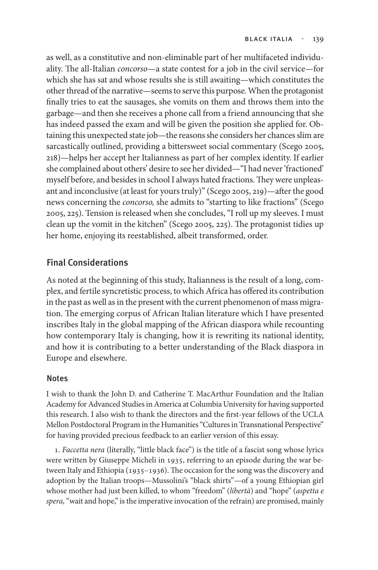as well, as a constitutive and non-eliminable part of her multifaceted individuality. The all-Italian *concorso*—a state contest for a job in the civil service—for which she has sat and whose results she is still awaiting—which constitutes the other thread of the narrative—seems to serve this purpose. When the protagonist finally tries to eat the sausages, she vomits on them and throws them into the garbage—and then she receives a phone call from a friend announcing that she has indeed passed the exam and will be given the position she applied for. Obtaining this unexpected state job—the reasons she considers her chances slim are sarcastically outlined, providing a bittersweet social commentary (Scego 2005, 218)—helps her accept her Italianness as part of her complex identity. If earlier she complained about others' desire to see her divided—"I had never 'fractioned' myself before, and besides in school I always hated fractions. They were unpleasant and inconclusive (at least for yours truly)" (Scego 2005, 219)—after the good news concerning the *concorso,* she admits to "starting to like fractions" (Scego 2005, 225). Tension is released when she concludes, "I roll up my sleeves. I must clean up the vomit in the kitchen" (Scego 2005, 225). The protagonist tidies up her home, enjoying its reestablished, albeit transformed, order.

#### Final Considerations

As noted at the beginning of this study, Italianness is the result of a long, complex, and fertile syncretistic process, to which Africa has offered its contribution in the past as well as in the present with the current phenomenon of mass migration. The emerging corpus of African Italian literature which I have presented inscribes Italy in the global mapping of the African diaspora while recounting how contemporary Italy is changing, how it is rewriting its national identity, and how it is contributing to a better understanding of the Black diaspora in Europe and elsewhere.

#### Notes

I wish to thank the John D. and Catherine T. MacArthur Foundation and the Italian Academy for Advanced Studies in America at Columbia University for having supported this research. I also wish to thank the directors and the first-year fellows of the UCLA Mellon Postdoctoral Program in the Humanities "Cultures in Transnational Perspective" for having provided precious feedback to an earlier version of this essay.

1. *Faccetta nera* (literally, "little black face") is the title of a fascist song whose lyrics were written by Giuseppe Micheli in 1935, referring to an episode during the war between Italy and Ethiopia (1935–1936). The occasion for the song was the discovery and adoption by the Italian troops—Mussolini's "black shirts"—of a young Ethiopian girl whose mother had just been killed, to whom "freedom" (*libertà*) and "hope" (*aspetta e spera,* "wait and hope," is the imperative invocation of the refrain) are promised, mainly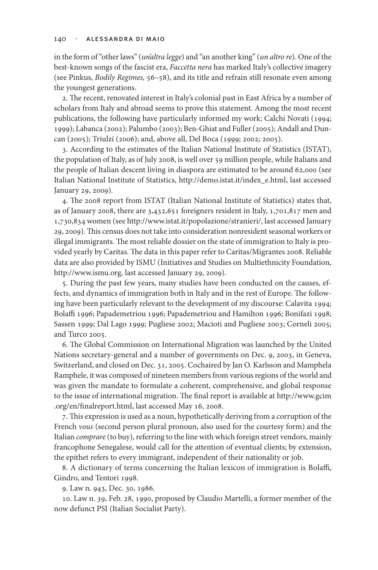in the form of "other laws" (*un'altra legge*) and "an another king" (*un altro re*). One of the best-known songs of the fascist era, *Faccetta nera* has marked Italy's collective imagery (see Pinkus, *Bodily Regimes,* 56–58), and its title and refrain still resonate even among the youngest generations.

2. The recent, renovated interest in Italy's colonial past in East Africa by a number of scholars from Italy and abroad seems to prove this statement. Among the most recent publications, the following have particularly informed my work: Calchi Novati (1994; 1999); Labanca (2002); Palumbo (2003); Ben-Ghiat and Fuller (2005); Andall and Duncan (2005); Triulzi (2006); and, above all, Del Boca (1999; 2002; 2005).

3. According to the estimates of the Italian National Institute of Statistics (ISTAT), the population of Italy, as of July 2008, is well over 59 million people, while Italians and the people of Italian descent living in diaspora are estimated to be around 62,000 (see Italian National Institute of Statistics, http://demo.istat.it/index\_e.html, last accessed January 29, 2009).

4. The 2008 report from ISTAT (Italian National Institute of Statistics) states that, as of January 2008, there are 3,432,651 foreigners resident in Italy, 1,701,817 men and 1,730,834 women (see http://www.istat.it/popolazione/stranieri/, last accessed January 29, 2009). This census does not take into consideration nonresident seasonal workers or illegal immigrants. The most reliable dossier on the state of immigration to Italy is provided yearly by Caritas. The data in this paper refer to Caritas/Migrantes 2008. Reliable data are also provided by ISMU (Initiatives and Studies on Multiethnicity Foundation, http://www.ismu.org, last accessed January 29, 2009).

5. During the past few years, many studies have been conducted on the causes, effects, and dynamics of immigration both in Italy and in the rest of Europe. The following have been particularly relevant to the development of my discourse: Calavita 1994; Bolaffi 1996; Papademetriou 1996; Papademetriou and Hamilton 1996; Bonifazi 1998; Sassen 1999; Dal Lago 1999; Pugliese 2002; Macioti and Pugliese 2003; Corneli 2005; and Turco 2005.

6. The Global Commission on International Migration was launched by the United Nations secretary-general and a number of governments on Dec. 9, 2003, in Geneva, Switzerland, and closed on Dec. 31, 2005. Cochaired by Jan O. Karlsson and Mamphela Ramphele, it was composed of nineteen members from various regions of the world and was given the mandate to formulate a coherent, comprehensive, and global response to the issue of international migration. The final report is available at http://www.gcim .org/en/finalreport.html, last accessed May 16, 2008.

7. This expression is used as a noun, hypothetically deriving from a corruption of the French *vous* (second person plural pronoun, also used for the courtesy form) and the Italian *comprare* (to buy), referring to the line with which foreign street vendors, mainly francophone Senegalese, would call for the attention of eventual clients; by extension, the epithet refers to every immigrant, independent of their nationality or job.

8. A dictionary of terms concerning the Italian lexicon of immigration is Bolaffi, Gindro, and Tentori 1998.

9. Law n. 943, Dec. 30, 1986.

10. Law n. 39, Feb. 28, 1990, proposed by Claudio Martelli, a former member of the now defunct PSI (Italian Socialist Party).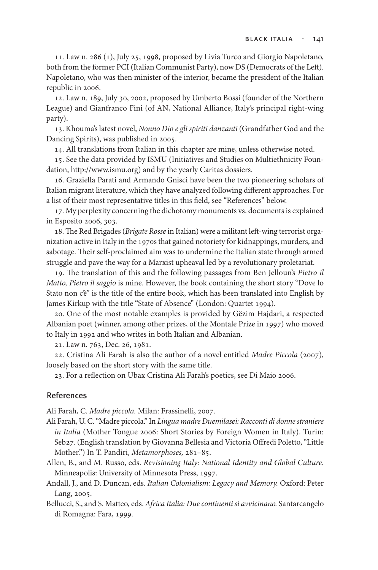11. Law n. 286 (1), July 25, 1998, proposed by Livia Turco and Giorgio Napoletano, both from the former PCI (Italian Communist Party), now DS (Democrats of the Left). Napoletano, who was then minister of the interior, became the president of the Italian republic in 2006.

12. Law n. 189, July 30, 2002, proposed by Umberto Bossi (founder of the Northern League) and Gianfranco Fini (of AN, National Alliance, Italy's principal right-wing party).

13. Khouma's latest novel, *Nonno Dio e gli spiriti danzanti* (Grandfather God and the Dancing Spirits), was published in 2005.

14. All translations from Italian in this chapter are mine, unless otherwise noted.

15. See the data provided by ISMU (Initiatives and Studies on Multiethnicity Foundation, http://www.ismu.org) and by the yearly Caritas dossiers.

16. Graziella Parati and Armando Gnisci have been the two pioneering scholars of Italian migrant literature, which they have analyzed following different approaches. For a list of their most representative titles in this field, see "References" below.

17. My perplexity concerning the dichotomy monuments vs. documents is explained in Esposito 2006, 303.

18. The Red Brigades (*Brigate Rosse* in Italian) were a militant left-wing terrorist organization active in Italy in the 1970s that gained notoriety for kidnappings, murders, and sabotage. Their self-proclaimed aim was to undermine the Italian state through armed struggle and pave the way for a Marxist upheaval led by a revolutionary proletariat.

19. The translation of this and the following passages from Ben Jelloun's *Pietro il Matto, Pietro il saggio* is mine. However, the book containing the short story "Dove lo Stato non c'è" is the title of the entire book, which has been translated into English by James Kirkup with the title "State of Absence" (London: Quartet 1994).

20. One of the most notable examples is provided by Gëzim Hajdari, a respected Albanian poet (winner, among other prizes, of the Montale Prize in 1997) who moved to Italy in 1992 and who writes in both Italian and Albanian.

21. Law n. 763, Dec. 26, 1981.

22. Cristina Ali Farah is also the author of a novel entitled *Madre Piccola* (2007), loosely based on the short story with the same title.

23. For a reflection on Ubax Cristina Ali Farah's poetics, see Di Maio 2006.

#### References

Ali Farah, C. *Madre piccola.* Milan: Frassinelli, 2007.

Ali Farah, U. C. "Madre piccola." In *Lingua madre Duemilasei: Racconti di donne straniere in Italia* (Mother Tongue 2006: Short Stories by Foreign Women in Italy). Turin: Seb27. (English translation by Giovanna Bellesia and Victoria Offredi Poletto, "Little Mother.") In T. Pandiri, *Metamorphoses,* 281–85.

Allen, B., and M. Russo, eds. *Revisioning Italy: National Identity and Global Culture.* Minneapolis: University of Minnesota Press, 1997.

Andall, J., and D. Duncan, eds. *Italian Colonialism: Legacy and Memory.* Oxford: Peter Lang, 2005.

Bellucci, S., and S. Matteo, eds. *Africa Italia: Due continenti si avvicinano.* Santarcangelo di Romagna: Fara, 1999.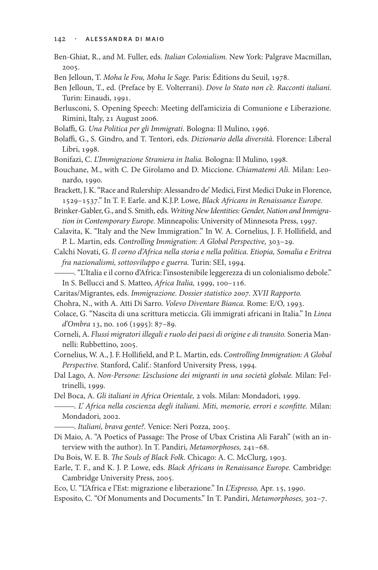- Ben-Ghiat, R., and M. Fuller, eds. *Italian Colonialism.* New York: Palgrave Macmillan, 2005.
- Ben Jelloun, T. *Moha le Fou, Moha le Sage.* Paris: Éditions du Seuil, 1978.
- Ben Jelloun, T., ed. (Preface by E. Volterrani). *Dove lo Stato non c'è. Racconti italiani.* Turin: Einaudi, 1991.
- Berlusconi, S. Opening Speech: Meeting dell'amicizia di Comunione e Liberazione. Rimini, Italy, 21 August 2006.
- Bolaffi, G. *Una Politica per gli Immigrati.* Bologna: Il Mulino, 1996.
- Bolaffi, G., S. Gindro, and T. Tentori, eds. *Dizionario della diversità.* Florence: Liberal Libri, 1998.
- Bonifazi, C. *L'Immigrazione Straniera in Italia.* Bologna: Il Mulino, 1998.
- Bouchane, M., with C. De Girolamo and D. Miccione. *Chiamatemi Alì.* Milan: Leonardo, 1990.
- Brackett, J. K. "Race and Rulership: Alessandro de' Medici, First Medici Duke in Florence, 1529–1537." In T. F. Earle. and K.J.P. Lowe, *Black Africans in Renaissance Europe.*

Brinker-Gabler, G., and S. Smith, eds. *Writing New Identities: Gender, Nation and Immigration in Contemporary Europe.* Minneapolis: University of Minnesota Press, 1997.

- Calavita, K. "Italy and the New Immigration." In W. A. Cornelius, J. F. Hollifield, and P. L. Martin, eds. *Controlling Immigration: A Global Perspective,* 303–29.
- Calchi Novati, G. *Il corno d'Africa nella storia e nella politica. Etiopia, Somalia e Eritrea fra nazionalismi, sottosviluppo e guerra.* Turin: SEI, 1994.
- ———. "L'Italia e il corno d'Africa: l'insostenibile leggerezza di un colonialismo debole." In S. Bellucci and S. Matteo, *Africa Italia,* 1999, 100–116.
- Caritas/Migrantes, eds. *Immigrazione. Dossier statistico 2007. XVII Rapporto.*
- Chohra, N., with A. Atti Di Sarro. *Volevo Diventare Bianca.* Rome: E/O, 1993.
- Colace, G. "Nascita di una scrittura meticcia. Gli immigrati africani in Italia." In *Linea d'Ombra* 13, no. 106 (1995): 87–89.
- Corneli, A. *Flussi migratori illegali e ruolo dei paesi di origine e di transito.* Soneria Mannelli: Rubbettino, 2005.

Cornelius, W. A., J. F. Hollifield, and P. L. Martin, eds. *Controlling Immigration: A Global Perspective.* Stanford, Calif.: Stanford University Press, 1994.

Dal Lago, A. *Non-Persone: L'esclusione dei migranti in una società globale.* Milan: Feltrinelli, 1999.

Del Boca, A. *Gli italiani in Africa Orientale,* 2 vols. Milan: Mondadori, 1999.

———. *L' Africa nella coscienza degli italiani. Miti, memorie, errori e sconfitte.* Milan: Mondadori, 2002.

———. *Italiani, brava gente?.* Venice: Neri Pozza, 2005.

- Di Maio, A. "A Poetics of Passage: The Prose of Ubax Cristina Ali Farah" (with an interview with the author). In T. Pandiri, *Metamorphoses,* 241–68.
- Du Bois, W. E. B. *The Souls of Black Folk.* Chicago: A. C. McClurg, 1903.
- Earle, T. F., and K. J. P. Lowe, eds. *Black Africans in Renaissance Europe.* Cambridge: Cambridge University Press, 2005.
- Eco, U. "L'Africa e l'Est: migrazione e liberazione." In *L'Espresso,* Apr. 15, 1990.
- Esposito, C. "Of Monuments and Documents." In T. Pandiri, *Metamorphoses,* 302–7.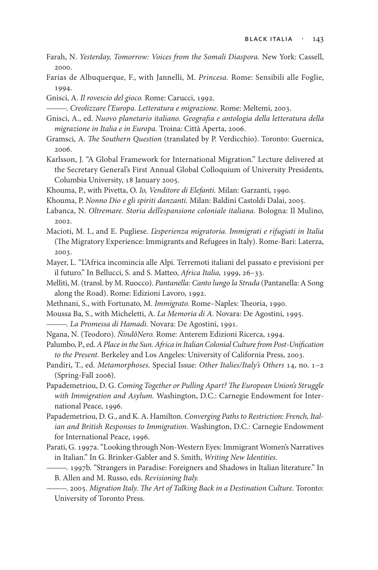- Farah, N. *Yesterday, Tomorrow: Voices from the Somali Diaspora.* New York: Cassell, 2000.
- Farias de Albuquerque, F., with Jannelli, M. *Princesa.* Rome: Sensibili alle Foglie, 1994.
- Gnisci, A. *Il rovescio del gioco.* Rome: Carucci, 1992.
- ———. *Creolizzare l'Europa. Letteratura e migrazione.* Rome: Meltemi, 2003.
- Gnisci, A., ed. *Nuovo planetario italiano. Geografia e antologia della letteratura della migrazione in Italia e in Europa.* Troina: Città Aperta, 2006.
- Gramsci, A. *The Southern Question* (translated by P. Verdicchio). Toronto: Guernica, 2006.
- Karlsson, J. "A Global Framework for International Migration." Lecture delivered at the Secretary General's First Annual Global Colloquium of University Presidents, Columbia University, 18 January 2005.
- Khouma, P., with Pivetta, O. *Io, Venditore di Elefanti.* Milan: Garzanti, 1990.
- Khouma, P. *Nonno Dio e gli spiriti danzanti.* Milan: Baldini Castoldi Dalai, 2005.
- Labanca, N. *Oltremare. Storia dell'espansione coloniale italiana.* Bologna: Il Mulino, 2002.
- Macioti, M. I., and E. Pugliese. *L'esperienza migratoria. Immigrati e rifugiati in Italia* (The Migratory Experience: Immigrants and Refugees in Italy). Rome-Bari: Laterza, 2003.
- Mayer, L. "L'Africa incomincia alle Alpi. Terremoti italiani del passato e previsioni per il futuro." In Bellucci, S. and S. Matteo, *Africa Italia,* 1999, 26–33.
- Melliti, M. (transl. by M. Ruocco). *Pantanella: Canto lungo la Strada* (Pantanella: A Song along the Road). Rome: Edizioni Lavoro, 1992.
- Methnani, S., with Fortunato, M. *Immigrato.* Rome–Naples: Theoria, 1990.
- Moussa Ba, S., with Micheletti, A. *La Memoria di A.* Novara: De Agostini, 1995.
- ———. *La Promessa di Hamadi.* Novara: De Agostini, 1991.
- Ngana, N. (Teodoro). *ÑindôNero.* Rome: Anterem Edizioni Ricerca, 1994.
- Palumbo, P., ed. *A Place in the Sun. Africa in Italian Colonial Culture from Post-Unification to the Present.* Berkeley and Los Angeles: University of California Press, 2003.
- Pandiri, T., ed. *Metamorphoses.* Special Issue: *Other Italies/Italy's Others* 14, no. 1–2 (Spring-Fall 2006).
- Papademetriou, D. G. *Coming Together or Pulling Apart? The European Union's Struggle with Immigration and Asylum.* Washington, D.C.: Carnegie Endowment for International Peace, 1996.
- Papademetriou, D. G., and K. A. Hamilton. *Converging Paths to Restriction: French, Italian and British Responses to Immigration.* Washington, D.C.: Carnegie Endowment for International Peace, 1996.
- Parati, G. 1997a. "Looking through Non-Western Eyes: Immigrant Women's Narratives in Italian." In G. Brinker-Gabler and S. Smith, *Writing New Identities.*

———. 1997b. "Strangers in Paradise: Foreigners and Shadows in Italian literature." In B. Allen and M. Russo, eds. *Revisioning Italy.*

———. 2005. *Migration Italy. The Art of Talking Back in a Destination Culture.* Toronto: University of Toronto Press.